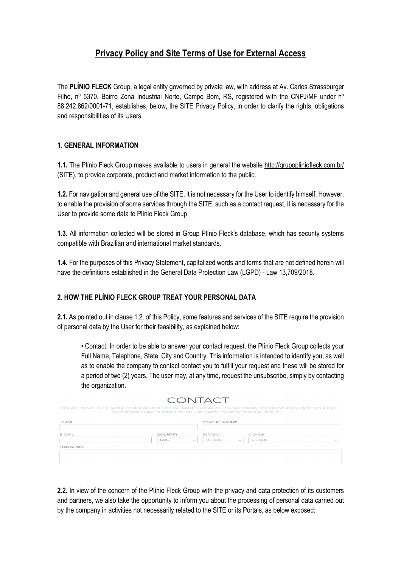# **Privacy Policy and Site Terms of Use for External Access**

The **PLÍNIO FLECK** Group, a legal entity governed by private law, with address at Av. Carlos Strassburger Filho, nº 5370, Bairro Zona Industrial Norte, Campo Bom, RS, registered with the CNPJ/MF under nº 88.242.862/0001-71, establishes, below, the SITE Privacy Policy, in order to clarify the rights, obligations and responsibilities of its Users.

## **1. GENERAL INFORMATION**

**1.1.** The Plínio Fleck Group makes available to users in general the website http://grupopliniofleck.com.br/ (SITE), to provide corporate, product and market information to the public.

**1.2.** For navigation and general use of the SITE, it is not necessary for the User to identify himself. However, to enable the provision of some services through the SITE, such as a contact request, it is necessary for the User to provide some data to Plínio Fleck Group.

**1.3.** All information collected will be stored in Group Plínio Fleck's database, which has security systems compatible with Brazilian and international market standards.

**1.4.** For the purposes of this Privacy Statement, capitalized words and terms that are not defined herein will have the definitions established in the General Data Protection Law (LGPD) - Law 13,709/2018.

#### **2. HOW THE PLÍNIO FLECK GROUP TREAT YOUR PERSONAL DATA**

**2.1.** As pointed out in clause 1.2. of this Policy, some features and services of the SITE require the provision of personal data by the User for their feasibility, as explained below:

• Contact: In order to be able to answer your contact request, the Plínio Fleck Group collects your Full Name, Telephone, State, City and Country. This information is intended to identify you, as well as to enable the company to contact contact you to fulfill your request and these will be stored for a period of two (2) years. The user may, at any time, request the unsubscribe, simply by contacting the organization.

| <b>NAME</b>     |                |              | <b>PHONE NUMBER</b> |  |        |              |
|-----------------|----------------|--------------|---------------------|--|--------|--------------|
| E-MAIL          | <b>COUNTRY</b> |              | <b>ESTADO</b>       |  | CIDADE |              |
|                 | PAIS           | $\checkmark$ | ESTADO              |  | CIDADE | $\checkmark$ |
| <b>MENSAGEM</b> |                |              |                     |  |        |              |

CONITACT

**2.2.** In view of the concern of the Plínio Fleck Group with the privacy and data protection of its customers and partners, we also take the opportunity to inform you about the processing of personal data carried out by the company in activities not necessarily related to the SITE or its Portals, as below exposed: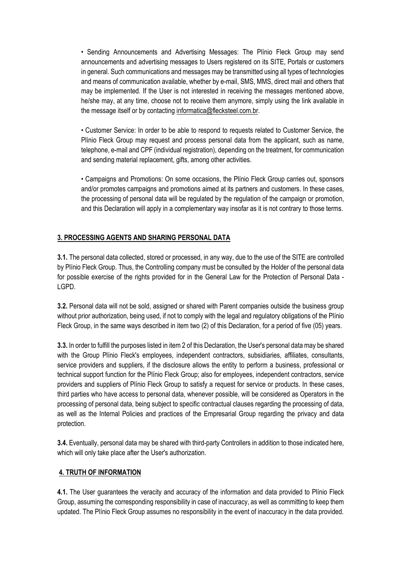• Sending Announcements and Advertising Messages: The Plínio Fleck Group may send announcements and advertising messages to Users registered on its SITE, Portals or customers in general. Such communications and messages may be transmitted using all types of technologies and means of communication available, whether by e-mail, SMS, MMS, direct mail and others that may be implemented. If the User is not interested in receiving the messages mentioned above, he/she may, at any time, choose not to receive them anymore, simply using the link available in the message itself or by contacting informatica@flecksteel.com.br.

• Customer Service: In order to be able to respond to requests related to Customer Service, the Plínio Fleck Group may request and process personal data from the applicant, such as name, telephone, e-mail and CPF (individual registration), depending on the treatment, for communication and sending material replacement, gifts, among other activities.

• Campaigns and Promotions: On some occasions, the Plínio Fleck Group carries out, sponsors and/or promotes campaigns and promotions aimed at its partners and customers. In these cases, the processing of personal data will be regulated by the regulation of the campaign or promotion, and this Declaration will apply in a complementary way insofar as it is not contrary to those terms.

#### **3. PROCESSING AGENTS AND SHARING PERSONAL DATA**

**3.1.** The personal data collected, stored or processed, in any way, due to the use of the SITE are controlled by Plínio Fleck Group. Thus, the Controlling company must be consulted by the Holder of the personal data for possible exercise of the rights provided for in the General Law for the Protection of Personal Data - LGPD.

**3.2.** Personal data will not be sold, assigned or shared with Parent companies outside the business group without prior authorization, being used, if not to comply with the legal and regulatory obligations of the Plínio Fleck Group, in the same ways described in item two (2) of this Declaration, for a period of five (05) years.

**3.3.** In order to fulfill the purposes listed in item 2 of this Declaration, the User's personal data may be shared with the Group Plínio Fleck's employees, independent contractors, subsidiaries, affiliates, consultants, service providers and suppliers, if the disclosure allows the entity to perform a business, professional or technical support function for the Plínio Fleck Group; also for employees, independent contractors, service providers and suppliers of Plínio Fleck Group to satisfy a request for service or products. In these cases, third parties who have access to personal data, whenever possible, will be considered as Operators in the processing of personal data, being subject to specific contractual clauses regarding the processing of data, as well as the Internal Policies and practices of the Empresarial Group regarding the privacy and data protection.

**3.4.** Eventually, personal data may be shared with third-party Controllers in addition to those indicated here, which will only take place after the User's authorization.

## **4. TRUTH OF INFORMATION**

**4.1.** The User guarantees the veracity and accuracy of the information and data provided to Plínio Fleck Group, assuming the corresponding responsibility in case of inaccuracy, as well as committing to keep them updated. The Plínio Fleck Group assumes no responsibility in the event of inaccuracy in the data provided.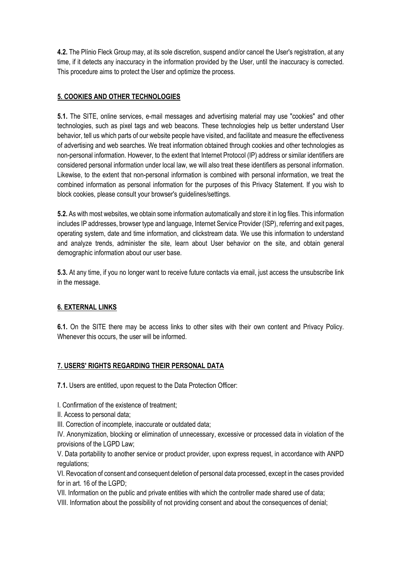**4.2.** The Plínio Fleck Group may, at its sole discretion, suspend and/or cancel the User's registration, at any time, if it detects any inaccuracy in the information provided by the User, until the inaccuracy is corrected. This procedure aims to protect the User and optimize the process.

## **5. COOKIES AND OTHER TECHNOLOGIES**

**5.1.** The SITE, online services, e-mail messages and advertising material may use "cookies" and other technologies, such as pixel tags and web beacons. These technologies help us better understand User behavior, tell us which parts of our website people have visited, and facilitate and measure the effectiveness of advertising and web searches. We treat information obtained through cookies and other technologies as non-personal information. However, to the extent that Internet Protocol (IP) address or similar identifiers are considered personal information under local law, we will also treat these identifiers as personal information. Likewise, to the extent that non-personal information is combined with personal information, we treat the combined information as personal information for the purposes of this Privacy Statement. If you wish to block cookies, please consult your browser's guidelines/settings.

**5.2.** As with most websites, we obtain some information automatically and store it in log files. This information includes IP addresses, browser type and language, Internet Service Provider (ISP), referring and exit pages, operating system, date and time information, and clickstream data. We use this information to understand and analyze trends, administer the site, learn about User behavior on the site, and obtain general demographic information about our user base.

**5.3.** At any time, if you no longer want to receive future contacts via email, just access the unsubscribe link in the message.

## **6. EXTERNAL LINKS**

**6.1.** On the SITE there may be access links to other sites with their own content and Privacy Policy. Whenever this occurs, the user will be informed.

## **7. USERS' RIGHTS REGARDING THEIR PERSONAL DATA**

**7.1.** Users are entitled, upon request to the Data Protection Officer:

I. Confirmation of the existence of treatment;

- II. Access to personal data;
- III. Correction of incomplete, inaccurate or outdated data;

IV. Anonymization, blocking or elimination of unnecessary, excessive or processed data in violation of the provisions of the LGPD Law;

V. Data portability to another service or product provider, upon express request, in accordance with ANPD regulations;

VI. Revocation of consent and consequent deletion of personal data processed, except in the cases provided for in art. 16 of the LGPD;

VII. Information on the public and private entities with which the controller made shared use of data;

VIII. Information about the possibility of not providing consent and about the consequences of denial;